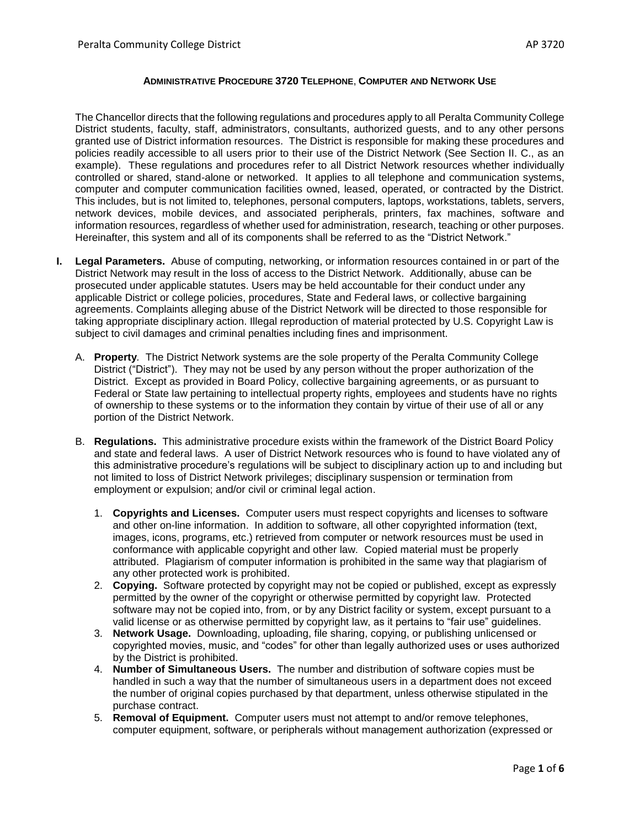#### **ADMINISTRATIVE PROCEDURE 3720 TELEPHONE**, **COMPUTER AND NETWORK USE**

The Chancellor directs that the following regulations and procedures apply to all Peralta Community College District students, faculty, staff, administrators, consultants, authorized guests, and to any other persons granted use of District information resources. The District is responsible for making these procedures and policies readily accessible to all users prior to their use of the District Network (See Section II. C., as an example). These regulations and procedures refer to all District Network resources whether individually controlled or shared, stand-alone or networked. It applies to all telephone and communication systems, computer and computer communication facilities owned, leased, operated, or contracted by the District. This includes, but is not limited to, telephones, personal computers, laptops, workstations, tablets, servers, network devices, mobile devices, and associated peripherals, printers, fax machines, software and information resources, regardless of whether used for administration, research, teaching or other purposes. Hereinafter, this system and all of its components shall be referred to as the "District Network."

- **I. Legal Parameters.** Abuse of computing, networking, or information resources contained in or part of the District Network may result in the loss of access to the District Network. Additionally, abuse can be prosecuted under applicable statutes. Users may be held accountable for their conduct under any applicable District or college policies, procedures, State and Federal laws, or collective bargaining agreements. Complaints alleging abuse of the District Network will be directed to those responsible for taking appropriate disciplinary action. Illegal reproduction of material protected by U.S. Copyright Law is subject to civil damages and criminal penalties including fines and imprisonment.
	- A. **Property***.* The District Network systems are the sole property of the Peralta Community College District ("District"). They may not be used by any person without the proper authorization of the District. Except as provided in Board Policy, collective bargaining agreements, or as pursuant to Federal or State law pertaining to intellectual property rights, employees and students have no rights of ownership to these systems or to the information they contain by virtue of their use of all or any portion of the District Network.
	- B. **Regulations.** This administrative procedure exists within the framework of the District Board Policy and state and federal laws. A user of District Network resources who is found to have violated any of this administrative procedure's regulations will be subject to disciplinary action up to and including but not limited to loss of District Network privileges; disciplinary suspension or termination from employment or expulsion; and/or civil or criminal legal action.
		- 1. **Copyrights and Licenses.** Computer users must respect copyrights and licenses to software and other on-line information. In addition to software, all other copyrighted information (text, images, icons, programs, etc.) retrieved from computer or network resources must be used in conformance with applicable copyright and other law. Copied material must be properly attributed. Plagiarism of computer information is prohibited in the same way that plagiarism of any other protected work is prohibited.
		- 2. **Copying.** Software protected by copyright may not be copied or published, except as expressly permitted by the owner of the copyright or otherwise permitted by copyright law. Protected software may not be copied into, from, or by any District facility or system, except pursuant to a valid license or as otherwise permitted by copyright law, as it pertains to "fair use" guidelines.
		- 3. **Network Usage.** Downloading, uploading, file sharing, copying, or publishing unlicensed or copyrighted movies, music, and "codes" for other than legally authorized uses or uses authorized by the District is prohibited.
		- 4. **Number of Simultaneous Users.** The number and distribution of software copies must be handled in such a way that the number of simultaneous users in a department does not exceed the number of original copies purchased by that department, unless otherwise stipulated in the purchase contract.
		- 5. **Removal of Equipment.** Computer users must not attempt to and/or remove telephones, computer equipment, software, or peripherals without management authorization (expressed or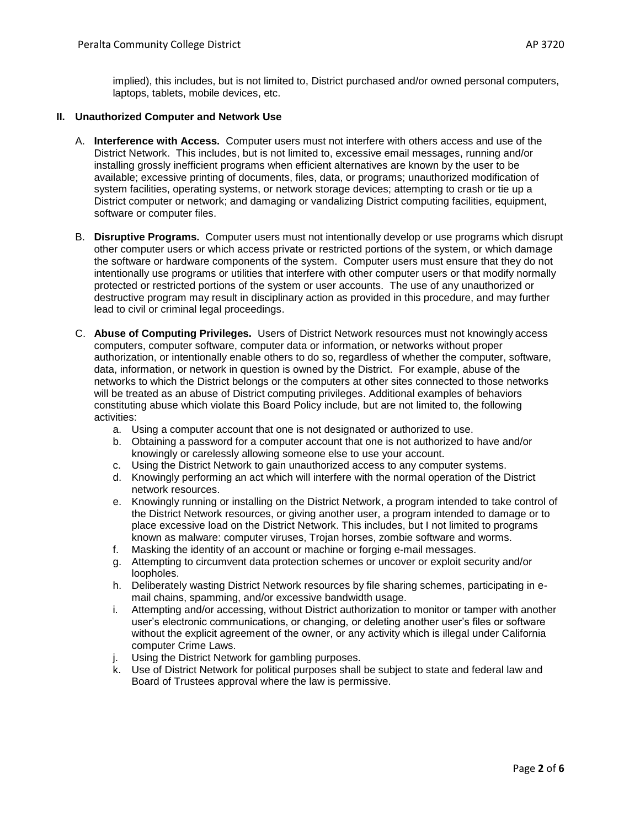implied), this includes, but is not limited to, District purchased and/or owned personal computers, laptops, tablets, mobile devices, etc.

### **II. Unauthorized Computer and Network Use**

- A. **Interference with Access.** Computer users must not interfere with others access and use of the District Network. This includes, but is not limited to, excessive email messages, running and/or installing grossly inefficient programs when efficient alternatives are known by the user to be available; excessive printing of documents, files, data, or programs; unauthorized modification of system facilities, operating systems, or network storage devices; attempting to crash or tie up a District computer or network; and damaging or vandalizing District computing facilities, equipment, software or computer files.
- B. **Disruptive Programs.** Computer users must not intentionally develop or use programs which disrupt other computer users or which access private or restricted portions of the system, or which damage the software or hardware components of the system. Computer users must ensure that they do not intentionally use programs or utilities that interfere with other computer users or that modify normally protected or restricted portions of the system or user accounts. The use of any unauthorized or destructive program may result in disciplinary action as provided in this procedure, and may further lead to civil or criminal legal proceedings.
- C. **Abuse of Computing Privileges.** Users of District Network resources must not knowingly access computers, computer software, computer data or information, or networks without proper authorization, or intentionally enable others to do so, regardless of whether the computer, software, data, information, or network in question is owned by the District. For example, abuse of the networks to which the District belongs or the computers at other sites connected to those networks will be treated as an abuse of District computing privileges. Additional examples of behaviors constituting abuse which violate this Board Policy include, but are not limited to, the following activities:
	- a. Using a computer account that one is not designated or authorized to use.
	- b. Obtaining a password for a computer account that one is not authorized to have and/or knowingly or carelessly allowing someone else to use your account.
	- c. Using the District Network to gain unauthorized access to any computer systems.
	- d. Knowingly performing an act which will interfere with the normal operation of the District network resources.
	- e. Knowingly running or installing on the District Network, a program intended to take control of the District Network resources, or giving another user, a program intended to damage or to place excessive load on the District Network. This includes, but I not limited to programs known as malware: computer viruses, Trojan horses, zombie software and worms.
	- f. Masking the identity of an account or machine or forging e-mail messages.
	- g. Attempting to circumvent data protection schemes or uncover or exploit security and/or loopholes.
	- h. Deliberately wasting District Network resources by file sharing schemes, participating in email chains, spamming, and/or excessive bandwidth usage.
	- i. Attempting and/or accessing, without District authorization to monitor or tamper with another user's electronic communications, or changing, or deleting another user's files or software without the explicit agreement of the owner, or any activity which is illegal under California computer Crime Laws.
	- j. Using the District Network for gambling purposes.
	- k. Use of District Network for political purposes shall be subject to state and federal law and Board of Trustees approval where the law is permissive.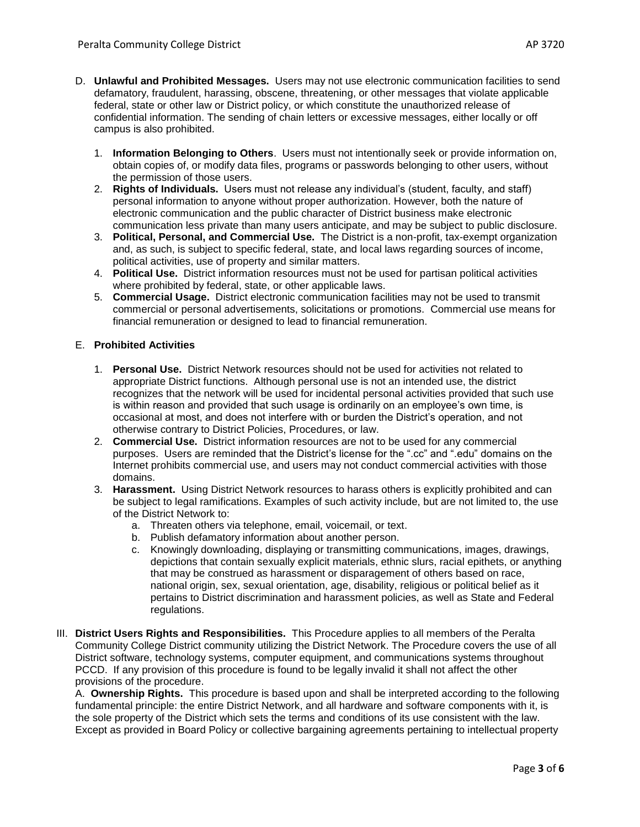- D. **Unlawful and Prohibited Messages.** Users may not use electronic communication facilities to send defamatory, fraudulent, harassing, obscene, threatening, or other messages that violate applicable federal, state or other law or District policy, or which constitute the unauthorized release of confidential information. The sending of chain letters or excessive messages, either locally or off campus is also prohibited.
	- 1. **Information Belonging to Others**. Users must not intentionally seek or provide information on, obtain copies of, or modify data files, programs or passwords belonging to other users, without the permission of those users.
	- 2. **Rights of Individuals.** Users must not release any individual's (student, faculty, and staff) personal information to anyone without proper authorization. However, both the nature of electronic communication and the public character of District business make electronic communication less private than many users anticipate, and may be subject to public disclosure.
	- 3. **Political, Personal, and Commercial Use.** The District is a non-profit, tax-exempt organization and, as such, is subject to specific federal, state, and local laws regarding sources of income, political activities, use of property and similar matters.
	- 4. **Political Use.** District information resources must not be used for partisan political activities where prohibited by federal, state, or other applicable laws.
	- 5. **Commercial Usage.** District electronic communication facilities may not be used to transmit commercial or personal advertisements, solicitations or promotions. Commercial use means for financial remuneration or designed to lead to financial remuneration.

### E. **Prohibited Activities**

- 1. **Personal Use.** District Network resources should not be used for activities not related to appropriate District functions. Although personal use is not an intended use, the district recognizes that the network will be used for incidental personal activities provided that such use is within reason and provided that such usage is ordinarily on an employee's own time, is occasional at most, and does not interfere with or burden the District's operation, and not otherwise contrary to District Policies, Procedures, or law.
- 2. **Commercial Use.** District information resources are not to be used for any commercial purposes. Users are reminded that the District's license for the ".cc" and ".edu" domains on the Internet prohibits commercial use, and users may not conduct commercial activities with those domains.
- 3. **Harassment.** Using District Network resources to harass others is explicitly prohibited and can be subject to legal ramifications. Examples of such activity include, but are not limited to, the use of the District Network to:
	- a. Threaten others via telephone, email, voicemail, or text.
	- b. Publish defamatory information about another person.
	- c. Knowingly downloading, displaying or transmitting communications, images, drawings, depictions that contain sexually explicit materials, ethnic slurs, racial epithets, or anything that may be construed as harassment or disparagement of others based on race, national origin, sex, sexual orientation, age, disability, religious or political belief as it pertains to District discrimination and harassment policies, as well as State and Federal regulations.
- III. **District Users Rights and Responsibilities.** This Procedure applies to all members of the Peralta Community College District community utilizing the District Network. The Procedure covers the use of all District software, technology systems, computer equipment, and communications systems throughout PCCD. If any provision of this procedure is found to be legally invalid it shall not affect the other provisions of the procedure.

A. **Ownership Rights.** This procedure is based upon and shall be interpreted according to the following fundamental principle: the entire District Network, and all hardware and software components with it, is the sole property of the District which sets the terms and conditions of its use consistent with the law. Except as provided in Board Policy or collective bargaining agreements pertaining to intellectual property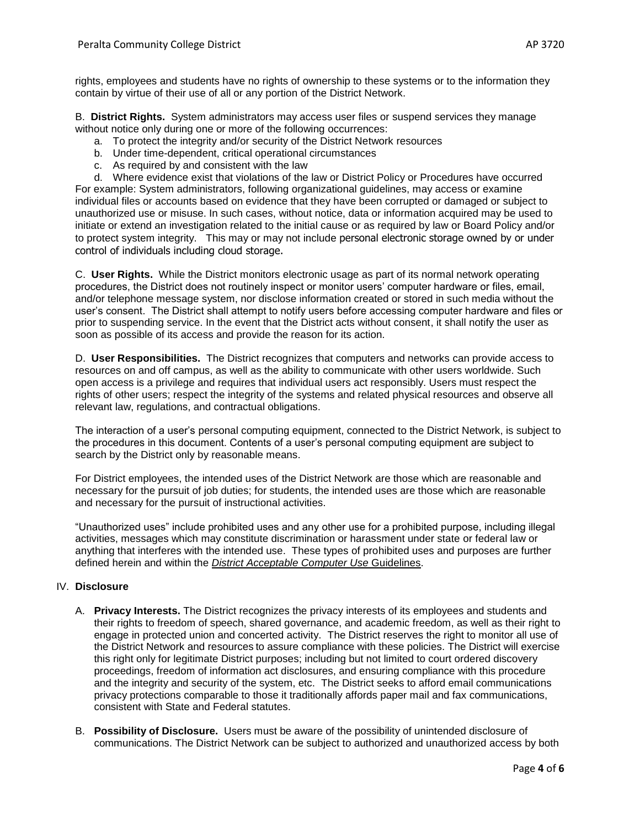B. **District Rights.** System administrators may access user files or suspend services they manage without notice only during one or more of the following occurrences:

- a. To protect the integrity and/or security of the District Network resources
- b. Under time-dependent, critical operational circumstances
- c. As required by and consistent with the law

d. Where evidence exist that violations of the law or District Policy or Procedures have occurred For example: System administrators, following organizational guidelines, may access or examine individual files or accounts based on evidence that they have been corrupted or damaged or subject to unauthorized use or misuse. In such cases, without notice, data or information acquired may be used to initiate or extend an investigation related to the initial cause or as required by law or Board Policy and/or to protect system integrity. This may or may not include personal electronic storage owned by or under control of individuals including cloud storage.

C. **User Rights.** While the District monitors electronic usage as part of its normal network operating procedures, the District does not routinely inspect or monitor users' computer hardware or files, email, and/or telephone message system, nor disclose information created or stored in such media without the user's consent. The District shall attempt to notify users before accessing computer hardware and files or prior to suspending service. In the event that the District acts without consent, it shall notify the user as soon as possible of its access and provide the reason for its action.

D. **User Responsibilities.** The District recognizes that computers and networks can provide access to resources on and off campus, as well as the ability to communicate with other users worldwide. Such open access is a privilege and requires that individual users act responsibly. Users must respect the rights of other users; respect the integrity of the systems and related physical resources and observe all relevant law, regulations, and contractual obligations.

The interaction of a user's personal computing equipment, connected to the District Network, is subject to the procedures in this document. Contents of a user's personal computing equipment are subject to search by the District only by reasonable means.

For District employees, the intended uses of the District Network are those which are reasonable and necessary for the pursuit of job duties; for students, the intended uses are those which are reasonable and necessary for the pursuit of instructional activities.

"Unauthorized uses" include prohibited uses and any other use for a prohibited purpose, including illegal activities, messages which may constitute discrimination or harassment under state or federal law or anything that interferes with the intended use. These types of prohibited uses and purposes are further defined herein and within the *District Acceptable Computer Use* Guidelines.

# IV. **Disclosure**

- A. **Privacy Interests.** The District recognizes the privacy interests of its employees and students and their rights to freedom of speech, shared governance, and academic freedom, as well as their right to engage in protected union and concerted activity. The District reserves the right to monitor all use of the District Network and resources to assure compliance with these policies. The District will exercise this right only for legitimate District purposes; including but not limited to court ordered discovery proceedings, freedom of information act disclosures, and ensuring compliance with this procedure and the integrity and security of the system, etc. The District seeks to afford email communications privacy protections comparable to those it traditionally affords paper mail and fax communications, consistent with State and Federal statutes.
- B. **Possibility of Disclosure.** Users must be aware of the possibility of unintended disclosure of communications. The District Network can be subject to authorized and unauthorized access by both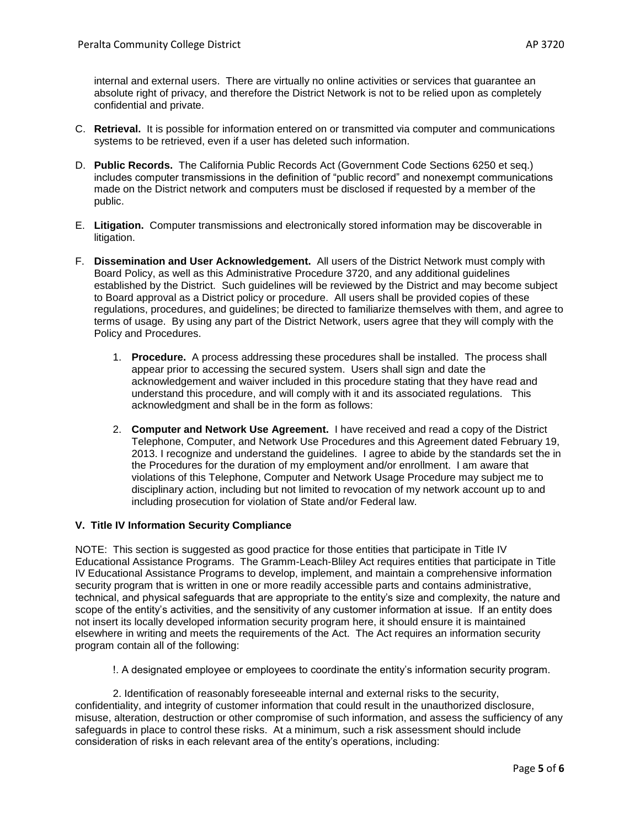internal and external users. There are virtually no online activities or services that guarantee an absolute right of privacy, and therefore the District Network is not to be relied upon as completely confidential and private.

- C. **Retrieval.** It is possible for information entered on or transmitted via computer and communications systems to be retrieved, even if a user has deleted such information.
- D. **Public Records.** The California Public Records Act (Government Code Sections 6250 et seq.) includes computer transmissions in the definition of "public record" and nonexempt communications made on the District network and computers must be disclosed if requested by a member of the public.
- E. **Litigation.** Computer transmissions and electronically stored information may be discoverable in litigation.
- F. **Dissemination and User Acknowledgement.** All users of the District Network must comply with Board Policy, as well as this Administrative Procedure 3720, and any additional guidelines established by the District. Such guidelines will be reviewed by the District and may become subject to Board approval as a District policy or procedure. All users shall be provided copies of these regulations, procedures, and guidelines; be directed to familiarize themselves with them, and agree to terms of usage. By using any part of the District Network, users agree that they will comply with the Policy and Procedures.
	- 1. **Procedure.** A process addressing these procedures shall be installed. The process shall appear prior to accessing the secured system. Users shall sign and date the acknowledgement and waiver included in this procedure stating that they have read and understand this procedure, and will comply with it and its associated regulations. This acknowledgment and shall be in the form as follows:
	- 2. **Computer and Network Use Agreement.** I have received and read a copy of the District Telephone, Computer, and Network Use Procedures and this Agreement dated February 19, 2013. I recognize and understand the guidelines. I agree to abide by the standards set the in the Procedures for the duration of my employment and/or enrollment. I am aware that violations of this Telephone, Computer and Network Usage Procedure may subject me to disciplinary action, including but not limited to revocation of my network account up to and including prosecution for violation of State and/or Federal law.

# **V. Title IV Information Security Compliance**

NOTE: This section is suggested as good practice for those entities that participate in Title IV Educational Assistance Programs. The Gramm-Leach-Bliley Act requires entities that participate in Title IV Educational Assistance Programs to develop, implement, and maintain a comprehensive information security program that is written in one or more readily accessible parts and contains administrative, technical, and physical safeguards that are appropriate to the entity's size and complexity, the nature and scope of the entity's activities, and the sensitivity of any customer information at issue. If an entity does not insert its locally developed information security program here, it should ensure it is maintained elsewhere in writing and meets the requirements of the Act. The Act requires an information security program contain all of the following:

!. A designated employee or employees to coordinate the entity's information security program.

2. Identification of reasonably foreseeable internal and external risks to the security, confidentiality, and integrity of customer information that could result in the unauthorized disclosure, misuse, alteration, destruction or other compromise of such information, and assess the sufficiency of any safeguards in place to control these risks. At a minimum, such a risk assessment should include consideration of risks in each relevant area of the entity's operations, including: